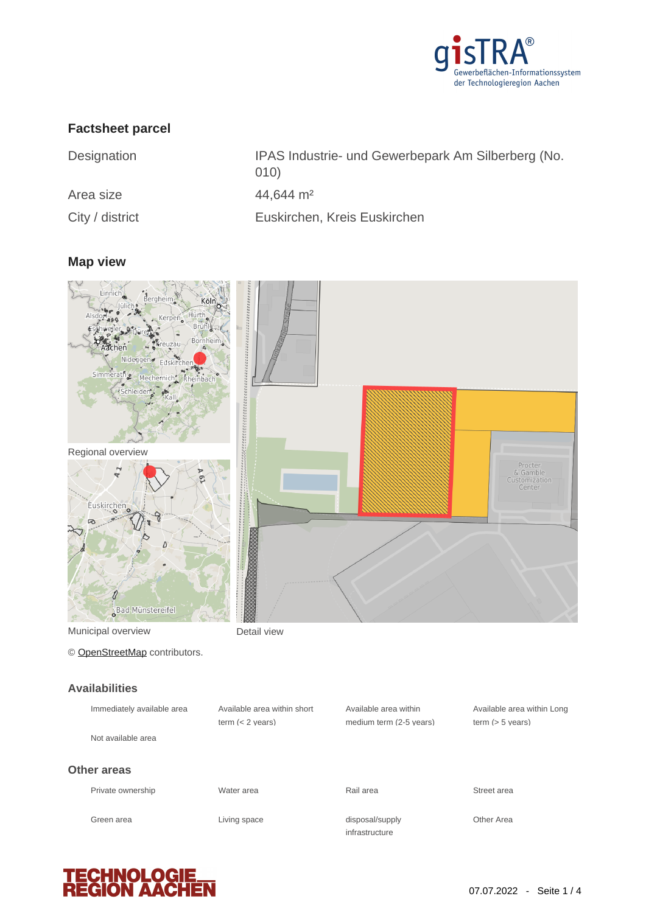

## **Factsheet parcel**

| Designation     | IPAS Industrie- und Gewerbepark Am Silberberg (No.<br>(010) |
|-----------------|-------------------------------------------------------------|
| Area size       | $44,644 \text{ m}^2$                                        |
| City / district | Euskirchen, Kreis Euskirchen                                |

# **Map view**



© [OpenStreetMap](http://www.openstreetmap.org/copyright) contributors.

#### **Availabilities**

| Immediately available area | Available area within short<br>term $(< 2$ vears) | Available area within<br>medium term (2-5 years) | Available area within Long<br>term $(> 5$ vears) |
|----------------------------|---------------------------------------------------|--------------------------------------------------|--------------------------------------------------|
| Not available area         |                                                   |                                                  |                                                  |
| Other areas                |                                                   |                                                  |                                                  |
| Private ownership          | Water area                                        | Rail area                                        | Street area                                      |
| Green area                 | Living space                                      | disposal/supply<br>infrastructure                | Other Area                                       |



Procter<br>& Gamble<br>Customization<br>Center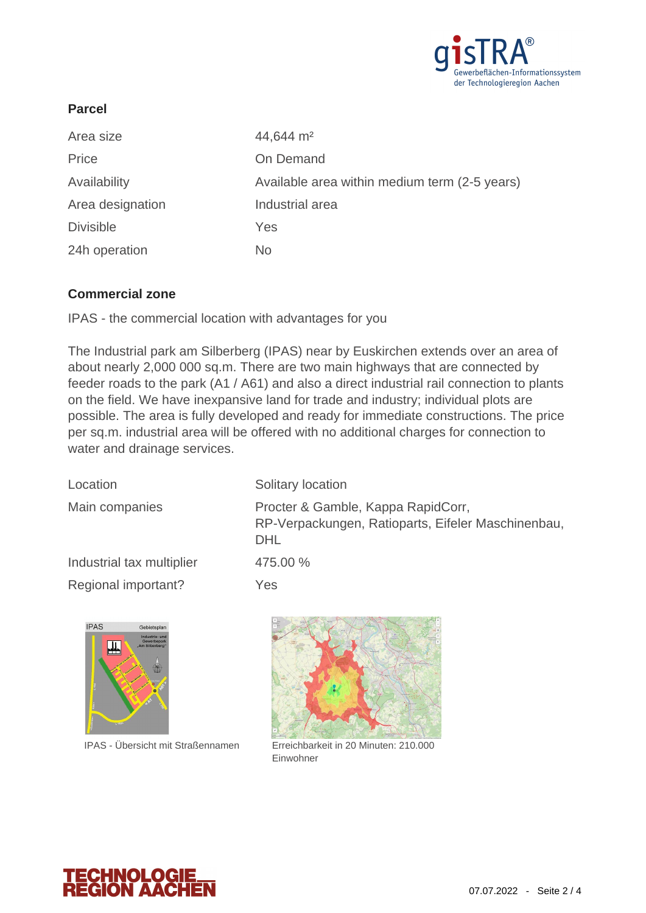

### **Parcel**

| Area size        | 44,644 m <sup>2</sup>                         |
|------------------|-----------------------------------------------|
| Price            | On Demand                                     |
| Availability     | Available area within medium term (2-5 years) |
| Area designation | Industrial area                               |
| <b>Divisible</b> | Yes                                           |
| 24h operation    | No                                            |

#### **Commercial zone**

IPAS - the commercial location with advantages for you

The Industrial park am Silberberg (IPAS) near by Euskirchen extends over an area of about nearly 2,000 000 sq.m. There are two main highways that are connected by feeder roads to the park (A1 / A61) and also a direct industrial rail connection to plants on the field. We have inexpansive land for trade and industry; individual plots are possible. The area is fully developed and ready for immediate constructions. The price per sq.m. industrial area will be offered with no additional charges for connection to water and drainage services.

| Location                  | Solitary location                                                                                      |
|---------------------------|--------------------------------------------------------------------------------------------------------|
| Main companies            | Procter & Gamble, Kappa RapidCorr,<br>RP-Verpackungen, Ratioparts, Eifeler Maschinenbau,<br><b>DHL</b> |
| Industrial tax multiplier | 475.00 %                                                                                               |
| Regional important?       | Yes                                                                                                    |



IPAS - Übersicht mit Straßennamen



Erreichbarkeit in 20 Minuten: 210.000 Einwohner

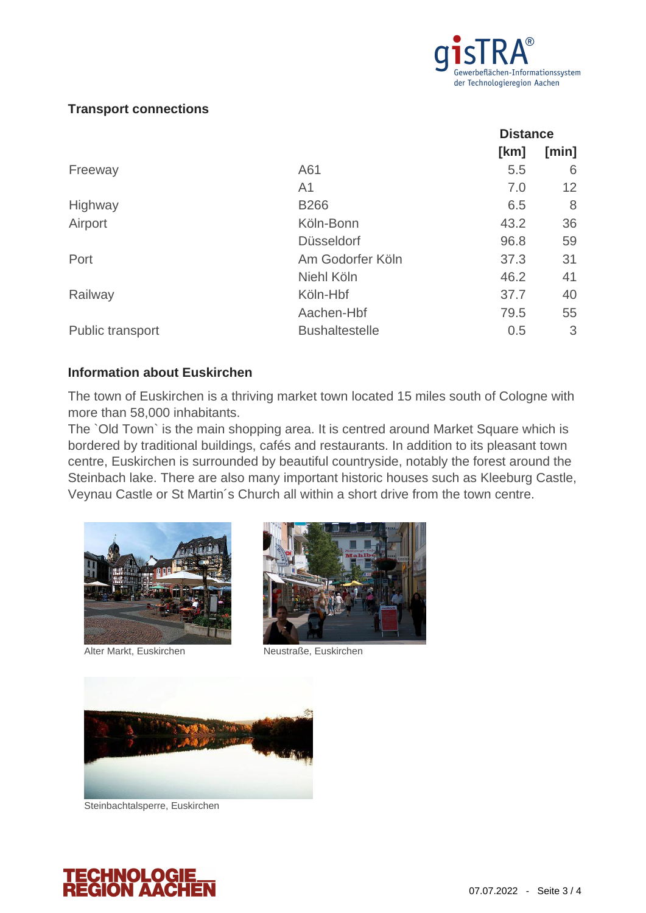

### **Transport connections**

|                       | <b>Distance</b> |       |
|-----------------------|-----------------|-------|
|                       | [km]            | [min] |
| A61                   | 5.5             | 6     |
| A <sub>1</sub>        | 7.0             | 12    |
| <b>B266</b>           | 6.5             | 8     |
| Köln-Bonn             | 43.2            | 36    |
| <b>Düsseldorf</b>     | 96.8            | 59    |
| Am Godorfer Köln      | 37.3            | 31    |
| Niehl Köln            | 46.2            | 41    |
| Köln-Hbf              | 37.7            | 40    |
| Aachen-Hbf            | 79.5            | 55    |
| <b>Bushaltestelle</b> | 0.5             | 3     |
|                       |                 |       |

#### **Information about Euskirchen**

The town of Euskirchen is a thriving market town located 15 miles south of Cologne with more than 58,000 inhabitants.

The `Old Town` is the main shopping area. It is centred around Market Square which is bordered by traditional buildings, cafés and restaurants. In addition to its pleasant town centre, Euskirchen is surrounded by beautiful countryside, notably the forest around the Steinbach lake. There are also many important historic houses such as Kleeburg Castle, Veynau Castle or St Martin´s Church all within a short drive from the town centre.





Alter Markt, Euskirchen Neustraße, Euskirchen



Steinbachtalsperre, Euskirchen